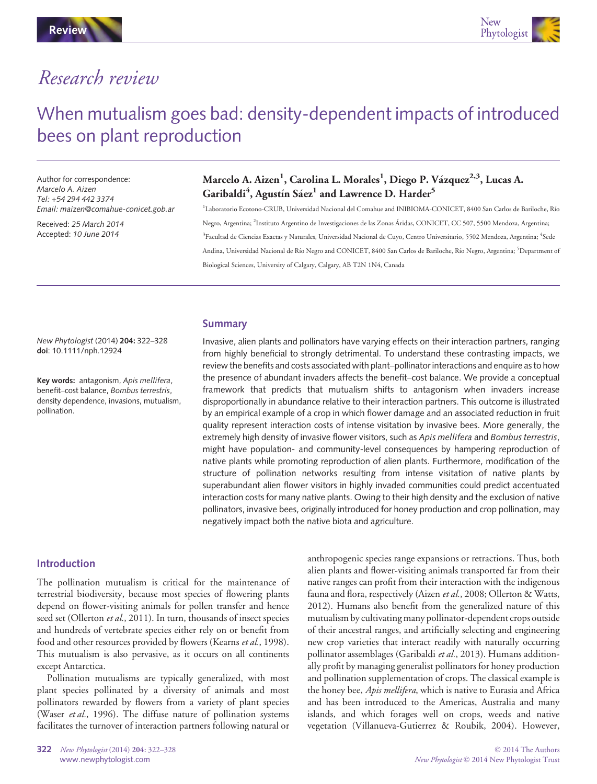

## Research review

# When mutualism goes bad: density-dependent impacts of introduced bees on plant reproduction

Author for correspondence: Marcelo A. Aizen Tel: +54 294 442 3374 Email: maizen@comahue-conicet.gob.ar

Received: 25 March 2014 Accepted: 10 June 2014

## Marcelo A. Aizen<sup>1</sup>, Carolina L. Morales<sup>1</sup>, Diego P. Vázquez<sup>2,3</sup>, Lucas A. Garibaldi<sup>4</sup>, Agustín Sáez<sup>1</sup> and Lawrence D. Harder<sup>5</sup>

<sup>1</sup>Laboratorio Ecotono-CRUB, Universidad Nacional del Comahue and INIBIOMA-CONICET, 8400 San Carlos de Bariloche, Río Negro, Argentina; <sup>2</sup>Instituto Argentino de Investigaciones de las Zonas Áridas, CONICET, CC 507, 5500 Mendoza, Argentina; <sup>3</sup>Facultad de Ciencias Exactas y Naturales, Universidad Nacional de Cuyo, Centro Universitario, 5502 Mendoza, Argentina; <sup>4</sup>Sede Andina, Universidad Nacional de Río Negro and CONICET, 8400 San Carlos de Bariloche, Río Negro, Argentina; <sup>5</sup>Department of Biological Sciences, University of Calgary, Calgary, AB T2N 1N4, Canada

#### Summary

New Phytologist (2014) 204: 322–328 doi: 10.1111/nph.12924

Key words: antagonism, Apis mellifera, benefit–cost balance, Bombus terrestris, density dependence, invasions, mutualism, pollination.

Invasive, alien plants and pollinators have varying effects on their interaction partners, ranging from highly beneficial to strongly detrimental. To understand these contrasting impacts, we review the benefits and costs associated with plant–pollinator interactions and enquire as to how the presence of abundant invaders affects the benefit–cost balance. We provide a conceptual framework that predicts that mutualism shifts to antagonism when invaders increase disproportionally in abundance relative to their interaction partners. This outcome is illustrated by an empirical example of a crop in which flower damage and an associated reduction in fruit quality represent interaction costs of intense visitation by invasive bees. More generally, the extremely high density of invasive flower visitors, such as Apis mellifera and Bombus terrestris, might have population- and community-level consequences by hampering reproduction of native plants while promoting reproduction of alien plants. Furthermore, modification of the structure of pollination networks resulting from intense visitation of native plants by superabundant alien flower visitors in highly invaded communities could predict accentuated interaction costs for many native plants. Owing to their high density and the exclusion of native pollinators, invasive bees, originally introduced for honey production and crop pollination, may negatively impact both the native biota and agriculture.

#### Introduction

The pollination mutualism is critical for the maintenance of terrestrial biodiversity, because most species of flowering plants depend on flower-visiting animals for pollen transfer and hence seed set (Ollerton et al., 2011). In turn, thousands of insect species and hundreds of vertebrate species either rely on or benefit from food and other resources provided by flowers (Kearns et al., 1998). This mutualism is also pervasive, as it occurs on all continents except Antarctica.

Pollination mutualisms are typically generalized, with most plant species pollinated by a diversity of animals and most pollinators rewarded by flowers from a variety of plant species (Waser et al., 1996). The diffuse nature of pollination systems facilitates the turnover of interaction partners following natural or alien plants and flower-visiting animals transported far from their native ranges can profit from their interaction with the indigenous fauna and flora, respectively (Aizen et al., 2008; Ollerton & Watts, 2012). Humans also benefit from the generalized nature of this mutualism by cultivating many pollinator-dependent crops outside of their ancestral ranges, and artificially selecting and engineering new crop varieties that interact readily with naturally occurring pollinator assemblages (Garibaldi et al., 2013). Humans additionally profit by managing generalist pollinators for honey production and pollination supplementation of crops. The classical example is the honey bee, Apis mellifera, which is native to Eurasia and Africa and has been introduced to the Americas, Australia and many islands, and which forages well on crops, weeds and native vegetation (Villanueva-Gutierrez & Roubik, 2004). However,

anthropogenic species range expansions or retractions. Thus, both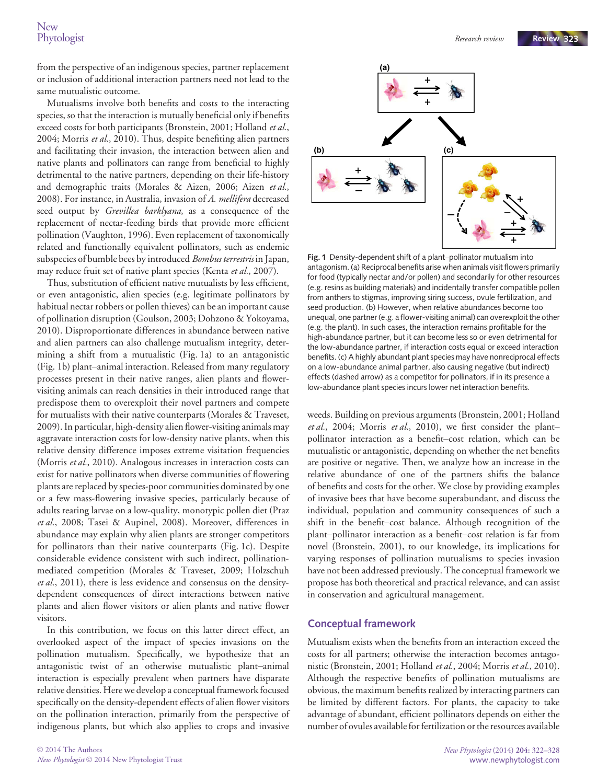from the perspective of an indigenous species, partner replacement or inclusion of additional interaction partners need not lead to the same mutualistic outcome.

Mutualisms involve both benefits and costs to the interacting species, so that the interaction is mutually beneficial only if benefits exceed costs for both participants (Bronstein, 2001; Holland et al., 2004; Morris et al., 2010). Thus, despite benefiting alien partners and facilitating their invasion, the interaction between alien and native plants and pollinators can range from beneficial to highly detrimental to the native partners, depending on their life-history and demographic traits (Morales & Aizen, 2006; Aizen et al., 2008). For instance, in Australia, invasion of A. mellifera decreased seed output by Grevillea barklyana, as a consequence of the replacement of nectar-feeding birds that provide more efficient pollination (Vaughton, 1996). Even replacement of taxonomically related and functionally equivalent pollinators, such as endemic subspecies of bumble bees by introduced Bombus terrestris in Japan, may reduce fruit set of native plant species (Kenta et al., 2007).

Thus, substitution of efficient native mutualists by less efficient, or even antagonistic, alien species (e.g. legitimate pollinators by habitual nectar robbers or pollen thieves) can be an important cause of pollination disruption (Goulson, 2003; Dohzono & Yokoyama, 2010). Disproportionate differences in abundance between native and alien partners can also challenge mutualism integrity, determining a shift from a mutualistic (Fig. 1a) to an antagonistic (Fig. 1b) plant–animal interaction. Released from many regulatory processes present in their native ranges, alien plants and flowervisiting animals can reach densities in their introduced range that predispose them to overexploit their novel partners and compete for mutualists with their native counterparts (Morales & Traveset, 2009). In particular, high-density alien flower-visiting animals may aggravate interaction costs for low-density native plants, when this relative density difference imposes extreme visitation frequencies (Morris et al., 2010). Analogous increases in interaction costs can exist for native pollinators when diverse communities of flowering plants are replaced by species-poor communities dominated by one or a few mass-flowering invasive species, particularly because of adults rearing larvae on a low-quality, monotypic pollen diet (Praz et al., 2008; Tasei & Aupinel, 2008). Moreover, differences in abundance may explain why alien plants are stronger competitors for pollinators than their native counterparts (Fig. 1c). Despite considerable evidence consistent with such indirect, pollinationmediated competition (Morales & Traveset, 2009; Holzschuh et al., 2011), there is less evidence and consensus on the densitydependent consequences of direct interactions between native plants and alien flower visitors or alien plants and native flower visitors.

In this contribution, we focus on this latter direct effect, an overlooked aspect of the impact of species invasions on the pollination mutualism. Specifically, we hypothesize that an antagonistic twist of an otherwise mutualistic plant–animal interaction is especially prevalent when partners have disparate relative densities. Here we develop a conceptual framework focused specifically on the density-dependent effects of alien flower visitors on the pollination interaction, primarily from the perspective of indigenous plants, but which also applies to crops and invasive



Fig. 1 Density-dependent shift of a plant–pollinator mutualism into antagonism. (a) Reciprocal benefits arise when animals visit flowers primarily for food (typically nectar and/or pollen) and secondarily for other resources (e.g. resins as building materials) and incidentally transfer compatible pollen from anthers to stigmas, improving siring success, ovule fertilization, and seed production. (b) However, when relative abundances become too unequal, one partner (e.g. a flower-visiting animal) can overexploit the other (e.g. the plant). In such cases, the interaction remains profitable for the high-abundance partner, but it can become less so or even detrimental for the low-abundance partner, if interaction costs equal or exceed interaction benefits. (c) A highly abundant plant species may have nonreciprocal effects on a low-abundance animal partner, also causing negative (but indirect) effects (dashed arrow) as a competitor for pollinators, if in its presence a low-abundance plant species incurs lower net interaction benefits.

weeds. Building on previous arguments (Bronstein, 2001; Holland et al., 2004; Morris et al., 2010), we first consider the plantpollinator interaction as a benefit–cost relation, which can be mutualistic or antagonistic, depending on whether the net benefits are positive or negative. Then, we analyze how an increase in the relative abundance of one of the partners shifts the balance of benefits and costs for the other. We close by providing examples of invasive bees that have become superabundant, and discuss the individual, population and community consequences of such a shift in the benefit–cost balance. Although recognition of the plant–pollinator interaction as a benefit–cost relation is far from novel (Bronstein, 2001), to our knowledge, its implications for varying responses of pollination mutualisms to species invasion have not been addressed previously. The conceptual framework we propose has both theoretical and practical relevance, and can assist in conservation and agricultural management.

#### Conceptual framework

Mutualism exists when the benefits from an interaction exceed the costs for all partners; otherwise the interaction becomes antagonistic (Bronstein, 2001; Holland et al., 2004; Morris et al., 2010). Although the respective benefits of pollination mutualisms are obvious, the maximum benefits realized by interacting partners can be limited by different factors. For plants, the capacity to take advantage of abundant, efficient pollinators depends on either the number of ovules available for fertilization or the resources available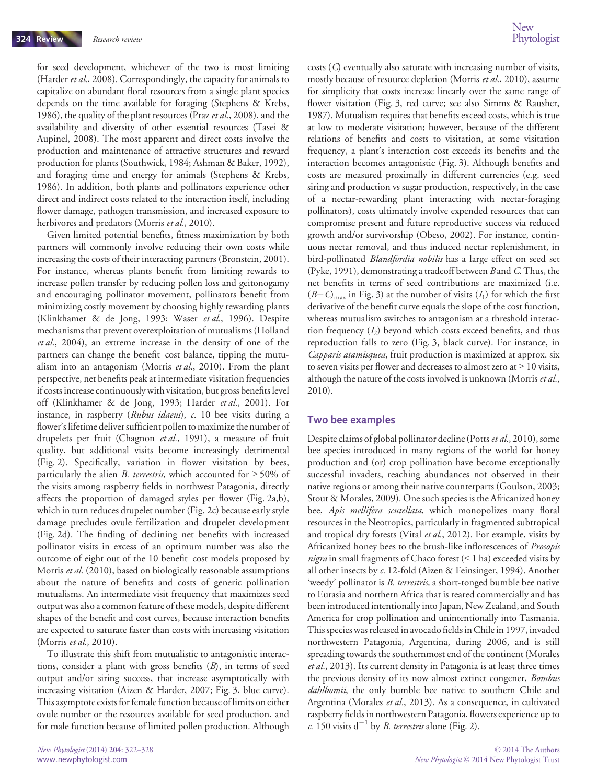for seed development, whichever of the two is most limiting (Harder et al., 2008). Correspondingly, the capacity for animals to capitalize on abundant floral resources from a single plant species depends on the time available for foraging (Stephens & Krebs, 1986), the quality of the plant resources (Praz et al., 2008), and the availability and diversity of other essential resources (Tasei & Aupinel, 2008). The most apparent and direct costs involve the production and maintenance of attractive structures and reward production for plants (Southwick, 1984; Ashman & Baker, 1992), and foraging time and energy for animals (Stephens & Krebs, 1986). In addition, both plants and pollinators experience other direct and indirect costs related to the interaction itself, including flower damage, pathogen transmission, and increased exposure to herbivores and predators (Morris et al., 2010).

Given limited potential benefits, fitness maximization by both partners will commonly involve reducing their own costs while increasing the costs of their interacting partners (Bronstein, 2001). For instance, whereas plants benefit from limiting rewards to increase pollen transfer by reducing pollen loss and geitonogamy and encouraging pollinator movement, pollinators benefit from minimizing costly movement by choosing highly rewarding plants (Klinkhamer & de Jong, 1993; Waser et al., 1996). Despite mechanisms that prevent overexploitation of mutualisms (Holland et al., 2004), an extreme increase in the density of one of the partners can change the benefit–cost balance, tipping the mutualism into an antagonism (Morris et al., 2010). From the plant perspective, net benefits peak at intermediate visitation frequencies if costs increase continuously with visitation, but gross benefits level off (Klinkhamer & de Jong, 1993; Harder et al., 2001). For instance, in raspberry (Rubus idaeus), c. 10 bee visits during a flower's lifetime deliver sufficient pollen to maximize the number of drupelets per fruit (Chagnon et al., 1991), a measure of fruit quality, but additional visits become increasingly detrimental (Fig. 2). Specifically, variation in flower visitation by bees, particularly the alien *B. terrestris*, which accounted for  $>$  50% of the visits among raspberry fields in northwest Patagonia, directly affects the proportion of damaged styles per flower (Fig. 2a,b), which in turn reduces drupelet number (Fig. 2c) because early style damage precludes ovule fertilization and drupelet development (Fig. 2d). The finding of declining net benefits with increased pollinator visits in excess of an optimum number was also the outcome of eight out of the 10 benefit–cost models proposed by Morris et al. (2010), based on biologically reasonable assumptions about the nature of benefits and costs of generic pollination mutualisms. An intermediate visit frequency that maximizes seed output was also a common feature of these models, despite different shapes of the benefit and cost curves, because interaction benefits are expected to saturate faster than costs with increasing visitation (Morris et al., 2010).

To illustrate this shift from mutualistic to antagonistic interactions, consider a plant with gross benefits (B), in terms of seed output and/or siring success, that increase asymptotically with increasing visitation (Aizen & Harder, 2007; Fig. 3, blue curve). This asymptote exists for female function because of limits on either ovule number or the resources available for seed production, and for male function because of limited pollen production. Although

costs (C) eventually also saturate with increasing number of visits, mostly because of resource depletion (Morris et al., 2010), assume for simplicity that costs increase linearly over the same range of flower visitation (Fig. 3, red curve; see also Simms & Rausher, 1987). Mutualism requires that benefits exceed costs, which is true at low to moderate visitation; however, because of the different relations of benefits and costs to visitation, at some visitation frequency, a plant's interaction cost exceeds its benefits and the interaction becomes antagonistic (Fig. 3). Although benefits and costs are measured proximally in different currencies (e.g. seed siring and production vs sugar production, respectively, in the case of a nectar-rewarding plant interacting with nectar-foraging pollinators), costs ultimately involve expended resources that can compromise present and future reproductive success via reduced growth and/or survivorship (Obeso, 2002). For instance, continuous nectar removal, and thus induced nectar replenishment, in bird-pollinated Blandfordia nobilis has a large effect on seed set (Pyke, 1991), demonstrating a tradeoff between B and C. Thus, the net benefits in terms of seed contributions are maximized (i.e.  $(B-C)_{\text{max}}$  in Fig. 3) at the number of visits  $(I_1)$  for which the first derivative of the benefit curve equals the slope of the cost function, whereas mutualism switches to antagonism at a threshold interaction frequency  $(I_2)$  beyond which costs exceed benefits, and thus reproduction falls to zero (Fig. 3, black curve). For instance, in Capparis atamisquea, fruit production is maximized at approx. six to seven visits per flower and decreases to almost zero at > 10 visits, although the nature of the costs involved is unknown (Morris et al., 2010).

#### Two bee examples

Despite claims of global pollinator decline (Potts et al., 2010), some bee species introduced in many regions of the world for honey production and (or) crop pollination have become exceptionally successful invaders, reaching abundances not observed in their native regions or among their native counterparts (Goulson, 2003; Stout & Morales, 2009). One such species is the Africanized honey bee, Apis mellifera scutellata, which monopolizes many floral resources in the Neotropics, particularly in fragmented subtropical and tropical dry forests (Vital et al., 2012). For example, visits by Africanized honey bees to the brush-like inflorescences of Prosopis nigra in small fragments of Chaco forest  $($  1 ha) exceeded visits by all other insects by c. 12-fold (Aizen & Feinsinger, 1994). Another 'weedy' pollinator is *B. terrestris*, a short-tonged bumble bee native to Eurasia and northern Africa that is reared commercially and has been introduced intentionally into Japan, New Zealand, and South America for crop pollination and unintentionally into Tasmania. This species was released in avocado fields in Chile in 1997, invaded northwestern Patagonia, Argentina, during 2006, and is still spreading towards the southernmost end of the continent (Morales et al., 2013). Its current density in Patagonia is at least three times the previous density of its now almost extinct congener, Bombus dahlbomii, the only bumble bee native to southern Chile and Argentina (Morales et al., 2013). As a consequence, in cultivated raspberry fields in northwestern Patagonia, flowers experience up to c. 150 visits  $d^{-1}$  by *B. terrestris* alone (Fig. 2).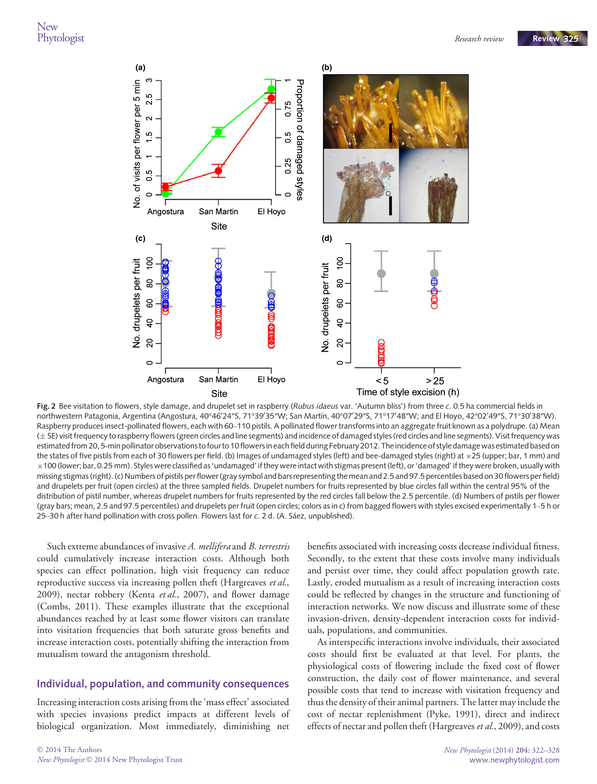

Fig. 2 Bee visitation to flowers, style damage, and drupelet set in raspberry (Rubus idaeus var. 'Autumn bliss') from three c. 0.5 ha commercial fields in northwestern Patagonia, Argentina (Angostura, 40°46′24″S, 71°39′35″W; San Martín, 40°07′29″S, 71°17′48″W; and El Hoyo, 42°02′49″S, 71°30′38″W). Raspberry produces insect-pollinated flowers, each with 60–110 pistils. A pollinated flower transforms into an aggregate fruit known as a polydrupe. (a) Mean ( SE) visit frequency to raspberry flowers (green circles and line segments) and incidence of damaged styles (red circles and line segments). Visit frequency was estimated from 20, 5-min pollinator observations to four to 10 flowers in each field during February 2012. The incidence of style damage was estimated based on the states of five pistils from each of 30 flowers per field. (b) Images of undamaged styles (left) and bee-damaged styles (right) at  $\times$  25 (upper; bar, 1 mm) and 9100 (lower; bar, 0.25 mm). Styles were classified as 'undamaged' if they were intact with stigmas present (left), or 'damaged' if they were broken, usually with missing stigmas (right). (c) Numbers of pistils per flower (gray symbol and bars representing the mean and 2.5 and 97.5 percentiles based on 30 flowers per field) and drupelets per fruit (open circles) at the three sampled fields. Drupelet numbers for fruits represented by blue circles fall within the central 95% of the distribution of pistil number, whereas drupelet numbers for fruits represented by the red circles fall below the 2.5 percentile. (d) Numbers of pistils per flower (gray bars; mean, 2.5 and 97.5 percentiles) and drupelets per fruit (open circles; colors as in c) from bagged flowers with styles excised experimentally 1–5 h or 25–30 h after hand pollination with cross pollen. Flowers last for c. 2 d. (A. Sáez, unpublished).

Such extreme abundances of invasive A. mellifera and B. terrestris could cumulatively increase interaction costs. Although both species can effect pollination, high visit frequency can reduce reproductive success via increasing pollen theft (Hargreaves et al., 2009), nectar robbery (Kenta et al., 2007), and flower damage (Combs, 2011). These examples illustrate that the exceptional abundances reached by at least some flower visitors can translate into visitation frequencies that both saturate gross benefits and increase interaction costs, potentially shifting the interaction from mutualism toward the antagonism threshold.

### Individual, population, and community consequences

Increasing interaction costs arising from the 'mass effect' associated with species invasions predict impacts at different levels of biological organization. Most immediately, diminishing net

benefits associated with increasing costs decrease individual fitness. Secondly, to the extent that these costs involve many individuals and persist over time, they could affect population growth rate. Lastly, eroded mutualism as a result of increasing interaction costs could be reflected by changes in the structure and functioning of interaction networks. We now discuss and illustrate some of these invasion-driven, density-dependent interaction costs for individuals, populations, and communities.

As interspecific interactions involve individuals, their associated costs should first be evaluated at that level. For plants, the physiological costs of flowering include the fixed cost of flower construction, the daily cost of flower maintenance, and several possible costs that tend to increase with visitation frequency and thus the density of their animal partners. The latter may include the cost of nectar replenishment (Pyke, 1991), direct and indirect effects of nectar and pollen theft (Hargreaves et al., 2009), and costs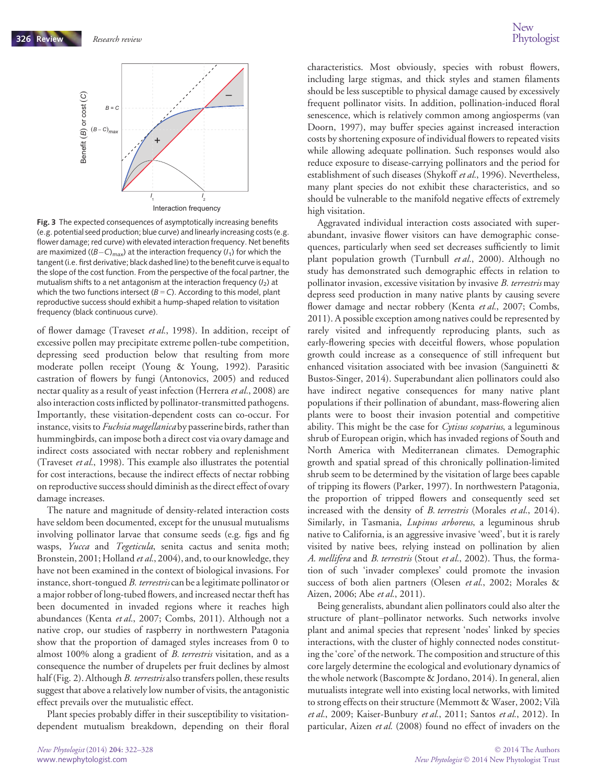**326 Review** Research review





Fig. 3 The expected consequences of asymptotically increasing benefits (e.g. potential seed production; blue curve) and linearly increasing costs (e.g. flower damage; red curve) with elevated interaction frequency. Net benefits are maximized (( $B-C$ )<sub>max</sub>) at the interaction frequency ( $I_1$ ) for which the tangent (i.e. first derivative; black dashed line) to the benefit curve is equal to the slope of the cost function. From the perspective of the focal partner, the mutualism shifts to a net antagonism at the interaction frequency  $(l_2)$  at which the two functions intersect ( $B = C$ ). According to this model, plant reproductive success should exhibit a hump-shaped relation to visitation frequency (black continuous curve).

of flower damage (Traveset et al., 1998). In addition, receipt of excessive pollen may precipitate extreme pollen-tube competition, depressing seed production below that resulting from more moderate pollen receipt (Young & Young, 1992). Parasitic castration of flowers by fungi (Antonovics, 2005) and reduced nectar quality as a result of yeast infection (Herrera et al., 2008) are also interaction costs inflicted by pollinator-transmitted pathogens. Importantly, these visitation-dependent costs can co-occur. For instance, visits to Fuchsia magellanica by passerine birds, rather than hummingbirds, can impose both a direct cost via ovary damage and indirect costs associated with nectar robbery and replenishment (Traveset et al., 1998). This example also illustrates the potential for cost interactions, because the indirect effects of nectar robbing on reproductive success should diminish as the direct effect of ovary damage increases.

The nature and magnitude of density-related interaction costs have seldom been documented, except for the unusual mutualisms involving pollinator larvae that consume seeds (e.g. figs and fig wasps, Yucca and Tegeticula, senita cactus and senita moth; Bronstein, 2001; Holland *et al.*, 2004), and, to our knowledge, they have not been examined in the context of biological invasions. For instance, short-tongued B. terrestris can be a legitimate pollinator or a major robber of long-tubed flowers, and increased nectar theft has been documented in invaded regions where it reaches high abundances (Kenta et al., 2007; Combs, 2011). Although not a native crop, our studies of raspberry in northwestern Patagonia show that the proportion of damaged styles increases from 0 to almost 100% along a gradient of B. terrestris visitation, and as a consequence the number of drupelets per fruit declines by almost half (Fig. 2). Although B. terrestris also transfers pollen, these results suggest that above a relatively low number of visits, the antagonistic effect prevails over the mutualistic effect.

Plant species probably differ in their susceptibility to visitationdependent mutualism breakdown, depending on their floral

characteristics. Most obviously, species with robust flowers, including large stigmas, and thick styles and stamen filaments should be less susceptible to physical damage caused by excessively frequent pollinator visits. In addition, pollination-induced floral senescence, which is relatively common among angiosperms (van Doorn, 1997), may buffer species against increased interaction costs by shortening exposure of individual flowers to repeated visits while allowing adequate pollination. Such responses would also reduce exposure to disease-carrying pollinators and the period for establishment of such diseases (Shykoff et al., 1996). Nevertheless, many plant species do not exhibit these characteristics, and so should be vulnerable to the manifold negative effects of extremely high visitation.

Aggravated individual interaction costs associated with superabundant, invasive flower visitors can have demographic consequences, particularly when seed set decreases sufficiently to limit plant population growth (Turnbull et al., 2000). Although no study has demonstrated such demographic effects in relation to pollinator invasion, excessive visitation by invasive B. terrestris may depress seed production in many native plants by causing severe flower damage and nectar robbery (Kenta et al., 2007; Combs, 2011). A possible exception among natives could be represented by rarely visited and infrequently reproducing plants, such as early-flowering species with deceitful flowers, whose population growth could increase as a consequence of still infrequent but enhanced visitation associated with bee invasion (Sanguinetti & Bustos-Singer, 2014). Superabundant alien pollinators could also have indirect negative consequences for many native plant populations if their pollination of abundant, mass-flowering alien plants were to boost their invasion potential and competitive ability. This might be the case for Cytisus scoparius, a leguminous shrub of European origin, which has invaded regions of South and North America with Mediterranean climates. Demographic growth and spatial spread of this chronically pollination-limited shrub seem to be determined by the visitation of large bees capable of tripping its flowers (Parker, 1997). In northwestern Patagonia, the proportion of tripped flowers and consequently seed set increased with the density of *B. terrestris* (Morales et al., 2014). Similarly, in Tasmania, Lupinus arboreus, a leguminous shrub native to California, is an aggressive invasive 'weed', but it is rarely visited by native bees, relying instead on pollination by alien A. mellifera and B. terrestris (Stout et al., 2002). Thus, the formation of such 'invader complexes' could promote the invasion success of both alien partners (Olesen et al., 2002; Morales & Aizen, 2006; Abe et al., 2011).

Being generalists, abundant alien pollinators could also alter the structure of plant–pollinator networks. Such networks involve plant and animal species that represent 'nodes' linked by species interactions, with the cluster of highly connected nodes constituting the 'core' of the network. The composition and structure of this core largely determine the ecological and evolutionary dynamics of the whole network (Bascompte & Jordano, 2014). In general, alien mutualists integrate well into existing local networks, with limited to strong effects on their structure (Memmott & Waser, 2002; Vila et al., 2009; Kaiser-Bunbury et al., 2011; Santos et al., 2012). In particular, Aizen et al. (2008) found no effect of invaders on the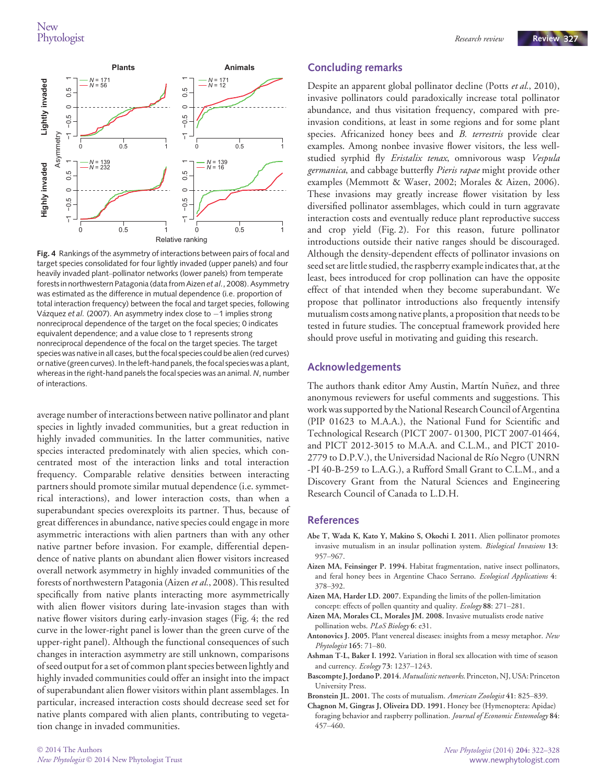

Fig. 4 Rankings of the asymmetry of interactions between pairs of focal and target species consolidated for four lightly invaded (upper panels) and four heavily invaded plant–pollinator networks (lower panels) from temperate forests in northwestern Patagonia (data from Aizen et al., 2008). Asymmetry was estimated as the difference in mutual dependence (i.e. proportion of total interaction frequency) between the focal and target species, following Vázquez et al. (2007). An asymmetry index close to  $-1$  implies strong nonreciprocal dependence of the target on the focal species; 0 indicates equivalent dependence; and a value close to 1 represents strong nonreciprocal dependence of the focal on the target species. The target species was native in all cases, but the focal species could be alien (red curves) or native (green curves). In the left-hand panels, the focal species was a plant, whereas in the right-hand panels the focal species was an animal. N, number of interactions.

average number of interactions between native pollinator and plant species in lightly invaded communities, but a great reduction in highly invaded communities. In the latter communities, native species interacted predominately with alien species, which concentrated most of the interaction links and total interaction frequency. Comparable relative densities between interacting partners should promote similar mutual dependence (i.e. symmetrical interactions), and lower interaction costs, than when a superabundant species overexploits its partner. Thus, because of great differences in abundance, native species could engage in more asymmetric interactions with alien partners than with any other native partner before invasion. For example, differential dependence of native plants on abundant alien flower visitors increased overall network asymmetry in highly invaded communities of the forests of northwestern Patagonia (Aizen et al., 2008). This resulted specifically from native plants interacting more asymmetrically with alien flower visitors during late-invasion stages than with native flower visitors during early-invasion stages (Fig. 4; the red curve in the lower-right panel is lower than the green curve of the upper-right panel). Although the functional consequences of such changes in interaction asymmetry are still unknown, comparisons of seed output for a set of common plant species between lightly and highly invaded communities could offer an insight into the impact of superabundant alien flower visitors within plant assemblages. In particular, increased interaction costs should decrease seed set for native plants compared with alien plants, contributing to vegetation change in invaded communities.

#### Concluding remarks

Despite an apparent global pollinator decline (Potts et al., 2010), invasive pollinators could paradoxically increase total pollinator abundance, and thus visitation frequency, compared with preinvasion conditions, at least in some regions and for some plant species. Africanized honey bees and B. terrestris provide clear examples. Among nonbee invasive flower visitors, the less wellstudied syrphid fly Eristalix tenax, omnivorous wasp Vespula germanica, and cabbage butterfly Pieris rapae might provide other examples (Memmott & Waser, 2002; Morales & Aizen, 2006). These invasions may greatly increase flower visitation by less diversified pollinator assemblages, which could in turn aggravate interaction costs and eventually reduce plant reproductive success and crop yield (Fig. 2). For this reason, future pollinator introductions outside their native ranges should be discouraged. Although the density-dependent effects of pollinator invasions on seed set are little studied, the raspberry example indicates that, at the least, bees introduced for crop pollination can have the opposite effect of that intended when they become superabundant. We propose that pollinator introductions also frequently intensify mutualism costs among native plants, a proposition that needs to be tested in future studies. The conceptual framework provided here should prove useful in motivating and guiding this research.

#### Acknowledgements

The authors thank editor Amy Austin, Martín Nuñez, and three anonymous reviewers for useful comments and suggestions. This work was supported by the National Research Council of Argentina (PIP 01623 to M.A.A.), the National Fund for Scientific and Technological Research (PICT 2007- 01300, PICT 2007-01464, and PICT 2012-3015 to M.A.A. and C.L.M., and PICT 2010- 2779 to D.P.V.), the Universidad Nacional de Rıo Negro (UNRN -PI 40-B-259 to L.A.G.), a Rufford Small Grant to C.L.M., and a Discovery Grant from the Natural Sciences and Engineering Research Council of Canada to L.D.H.

#### References

- Abe T, Wada K, Kato Y, Makino S, Okochi I. 2011. Alien pollinator promotes invasive mutualism in an insular pollination system. Biological Invasions 13: 957–967.
- Aizen MA, Feinsinger P. 1994. Habitat fragmentation, native insect pollinators, and feral honey bees in Argentine Chaco Serrano. Ecological Applications 4: 378–392.
- Aizen MA, Harder LD. 2007. Expanding the limits of the pollen-limitation concept: effects of pollen quantity and quality. Ecology 88: 271–281.
- Aizen MA, Morales CL, Morales JM. 2008. Invasive mutualists erode native pollination webs. PLoS Biology 6: e31.
- Antonovics J. 2005. Plant venereal diseases: insights from a messy metaphor. New Phytologist 165: 71–80.
- Ashman T-L, Baker I. 1992. Variation in floral sex allocation with time of season and currency. Ecology 73: 1237–1243.
- Bascompte J, Jordano P. 2014. Mutualistic networks. Princeton, NJ, USA: Princeton University Press.
- Bronstein JL. 2001. The costs of mutualism. American Zoologist 41: 825–839.
- Chagnon M, Gingras J, Oliveira DD. 1991. Honey bee (Hymenoptera: Apidae) foraging behavior and raspberry pollination. Journal of Economic Entomology 84: 457–460.